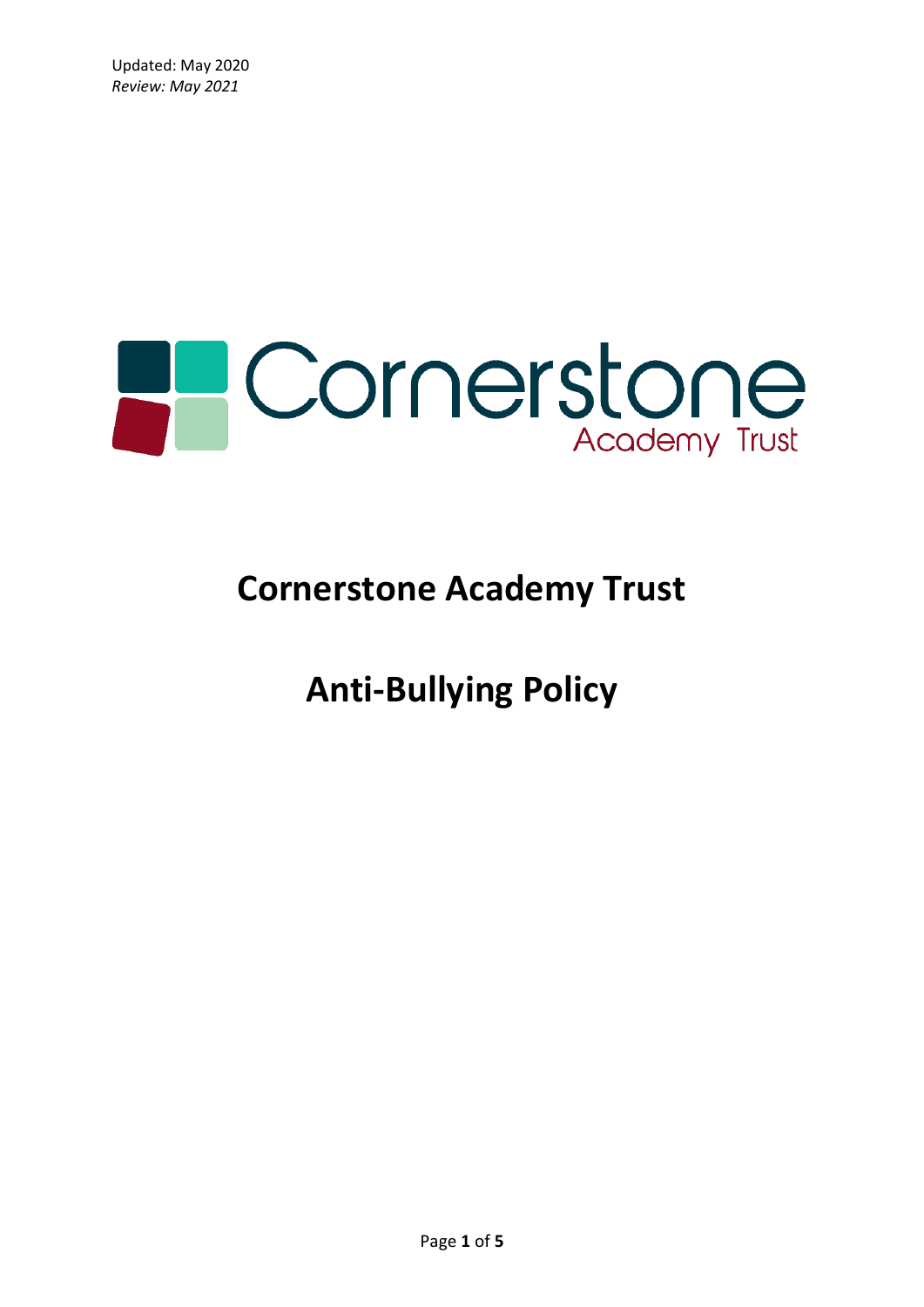

# **Cornerstone Academy Trust**

**Anti-Bullying Policy**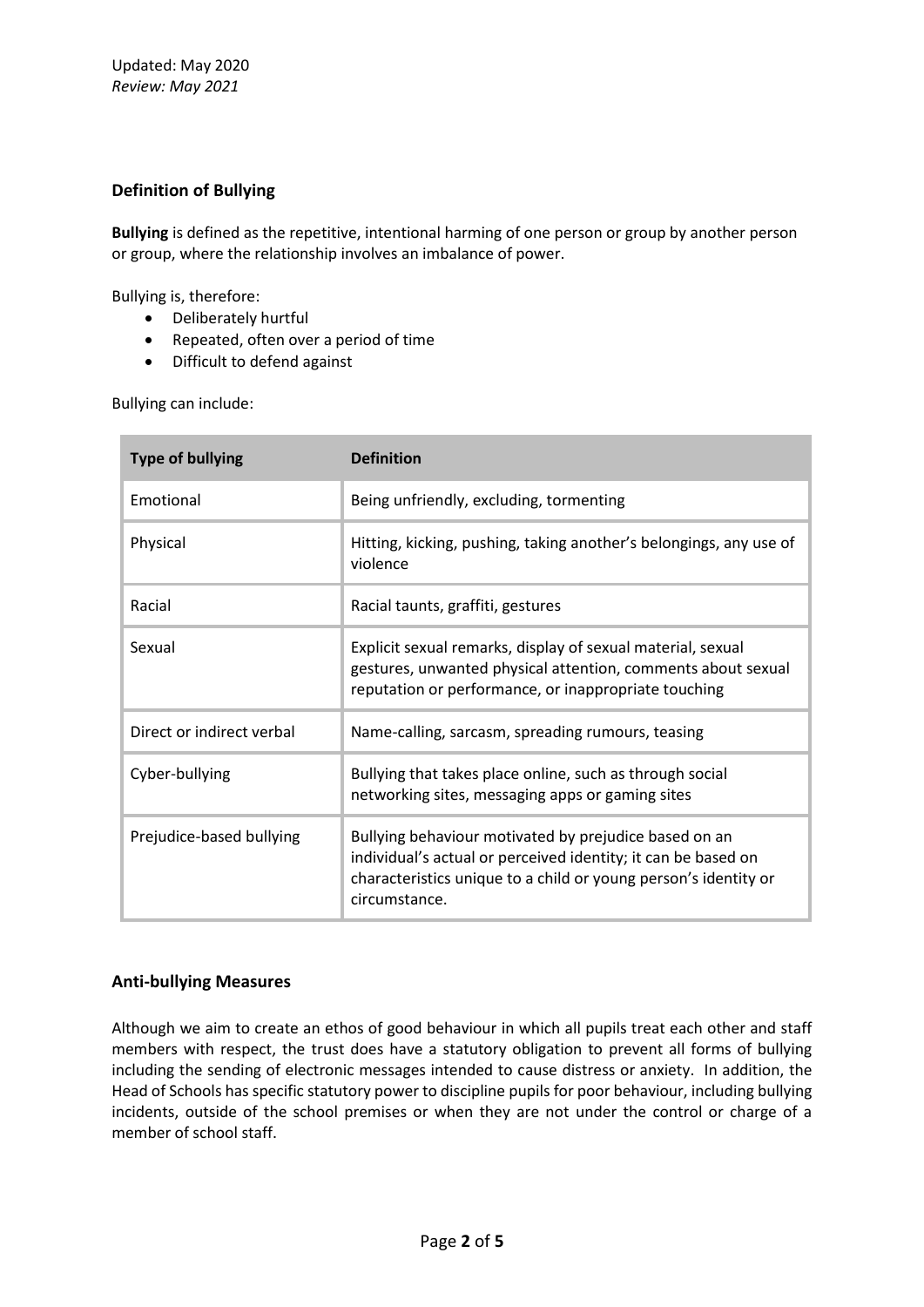## **Definition of Bullying**

**Bullying** is defined as the repetitive, intentional harming of one person or group by another person or group, where the relationship involves an imbalance of power.

Bullying is, therefore:

- Deliberately hurtful
- Repeated, often over a period of time
- Difficult to defend against

Bullying can include:

| <b>Type of bullying</b>   | <b>Definition</b>                                                                                                                                                                                          |
|---------------------------|------------------------------------------------------------------------------------------------------------------------------------------------------------------------------------------------------------|
| Emotional                 | Being unfriendly, excluding, tormenting                                                                                                                                                                    |
| Physical                  | Hitting, kicking, pushing, taking another's belongings, any use of<br>violence                                                                                                                             |
| Racial                    | Racial taunts, graffiti, gestures                                                                                                                                                                          |
| Sexual                    | Explicit sexual remarks, display of sexual material, sexual<br>gestures, unwanted physical attention, comments about sexual<br>reputation or performance, or inappropriate touching                        |
| Direct or indirect verbal | Name-calling, sarcasm, spreading rumours, teasing                                                                                                                                                          |
| Cyber-bullying            | Bullying that takes place online, such as through social<br>networking sites, messaging apps or gaming sites                                                                                               |
| Prejudice-based bullying  | Bullying behaviour motivated by prejudice based on an<br>individual's actual or perceived identity; it can be based on<br>characteristics unique to a child or young person's identity or<br>circumstance. |

#### **Anti-bullying Measures**

Although we aim to create an ethos of good behaviour in which all pupils treat each other and staff members with respect, the trust does have a statutory obligation to prevent all forms of bullying including the sending of electronic messages intended to cause distress or anxiety. In addition, the Head of Schools has specific statutory power to discipline pupils for poor behaviour, including bullying incidents, outside of the school premises or when they are not under the control or charge of a member of school staff.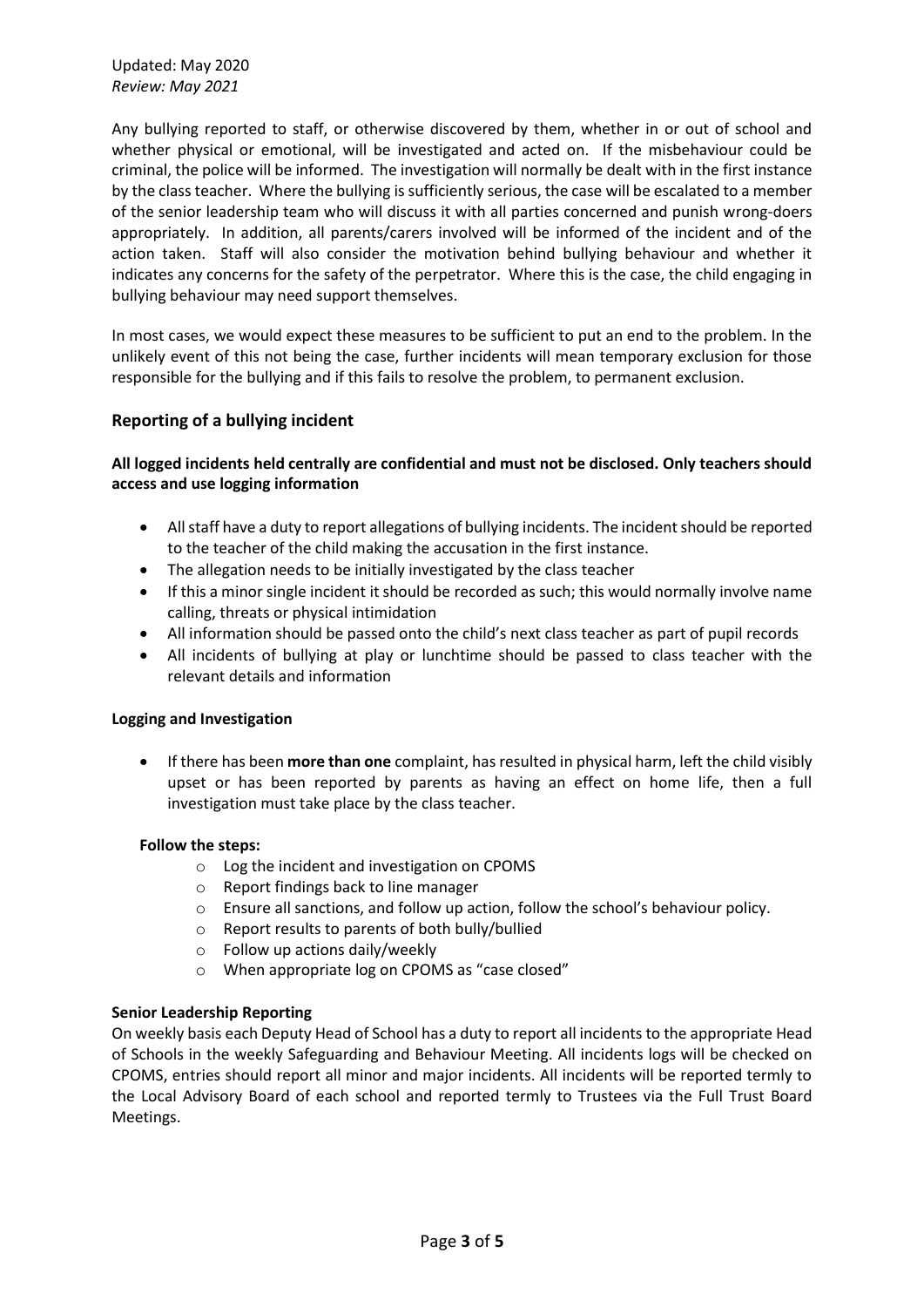Any bullying reported to staff, or otherwise discovered by them, whether in or out of school and whether physical or emotional, will be investigated and acted on. If the misbehaviour could be criminal, the police will be informed. The investigation will normally be dealt with in the first instance by the class teacher. Where the bullying is sufficiently serious, the case will be escalated to a member of the senior leadership team who will discuss it with all parties concerned and punish wrong-doers appropriately. In addition, all parents/carers involved will be informed of the incident and of the action taken. Staff will also consider the motivation behind bullying behaviour and whether it indicates any concerns for the safety of the perpetrator. Where this is the case, the child engaging in bullying behaviour may need support themselves.

In most cases, we would expect these measures to be sufficient to put an end to the problem. In the unlikely event of this not being the case, further incidents will mean temporary exclusion for those responsible for the bullying and if this fails to resolve the problem, to permanent exclusion.

## **Reporting of a bullying incident**

## **All logged incidents held centrally are confidential and must not be disclosed. Only teachers should access and use logging information**

- All staff have a duty to report allegations of bullying incidents. The incident should be reported to the teacher of the child making the accusation in the first instance.
- The allegation needs to be initially investigated by the class teacher
- If this a minor single incident it should be recorded as such; this would normally involve name calling, threats or physical intimidation
- All information should be passed onto the child's next class teacher as part of pupil records
- All incidents of bullying at play or lunchtime should be passed to class teacher with the relevant details and information

#### **Logging and Investigation**

• If there has been **more than one** complaint, has resulted in physical harm, left the child visibly upset or has been reported by parents as having an effect on home life, then a full investigation must take place by the class teacher.

#### **Follow the steps:**

- o Log the incident and investigation on CPOMS
- o Report findings back to line manager
- o Ensure all sanctions, and follow up action, follow the school's behaviour policy.
- o Report results to parents of both bully/bullied
- o Follow up actions daily/weekly
- o When appropriate log on CPOMS as "case closed"

#### **Senior Leadership Reporting**

On weekly basis each Deputy Head of School has a duty to report all incidents to the appropriate Head of Schools in the weekly Safeguarding and Behaviour Meeting. All incidents logs will be checked on CPOMS, entries should report all minor and major incidents. All incidents will be reported termly to the Local Advisory Board of each school and reported termly to Trustees via the Full Trust Board Meetings.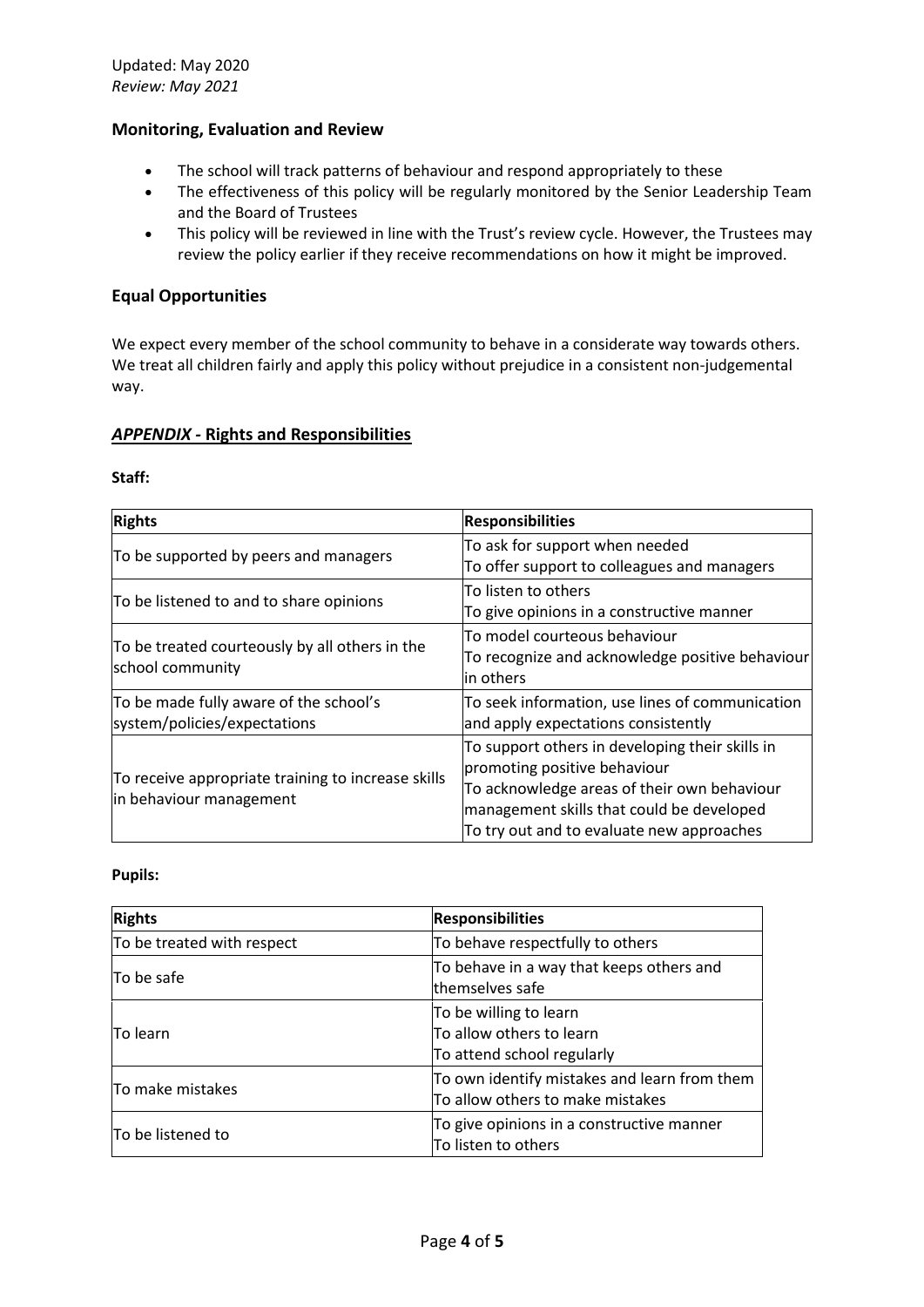## **Monitoring, Evaluation and Review**

- The school will track patterns of behaviour and respond appropriately to these
- The effectiveness of this policy will be regularly monitored by the Senior Leadership Team and the Board of Trustees
- This policy will be reviewed in line with the Trust's review cycle. However, the Trustees may review the policy earlier if they receive recommendations on how it might be improved.

### **Equal Opportunities**

We expect every member of the school community to behave in a considerate way towards others. We treat all children fairly and apply this policy without prejudice in a consistent non-judgemental way.

## *APPENDIX -* **Rights and Responsibilities**

#### **Staff:**

| <b>Rights</b>                                                                 | <b>Responsibilities</b>                                                                                                                                                                                                  |
|-------------------------------------------------------------------------------|--------------------------------------------------------------------------------------------------------------------------------------------------------------------------------------------------------------------------|
| To be supported by peers and managers                                         | To ask for support when needed<br>To offer support to colleagues and managers                                                                                                                                            |
| To be listened to and to share opinions                                       | To listen to others<br>To give opinions in a constructive manner                                                                                                                                                         |
| To be treated courteously by all others in the<br>school community            | To model courteous behaviour<br>To recognize and acknowledge positive behaviour<br>lin others                                                                                                                            |
| To be made fully aware of the school's<br>system/policies/expectations        | To seek information, use lines of communication<br>and apply expectations consistently                                                                                                                                   |
| To receive appropriate training to increase skills<br>in behaviour management | To support others in developing their skills in<br>promoting positive behaviour<br>To acknowledge areas of their own behaviour<br>management skills that could be developed<br>To try out and to evaluate new approaches |

#### **Pupils:**

| <b>Rights</b>              | <b>Responsibilities</b>                                                          |
|----------------------------|----------------------------------------------------------------------------------|
| To be treated with respect | To behave respectfully to others                                                 |
| To be safe                 | To behave in a way that keeps others and<br>themselves safe                      |
| ITo learn                  | To be willing to learn<br>To allow others to learn<br>To attend school regularly |
| To make mistakes           | To own identify mistakes and learn from them<br>To allow others to make mistakes |
| To be listened to          | To give opinions in a constructive manner<br>To listen to others                 |